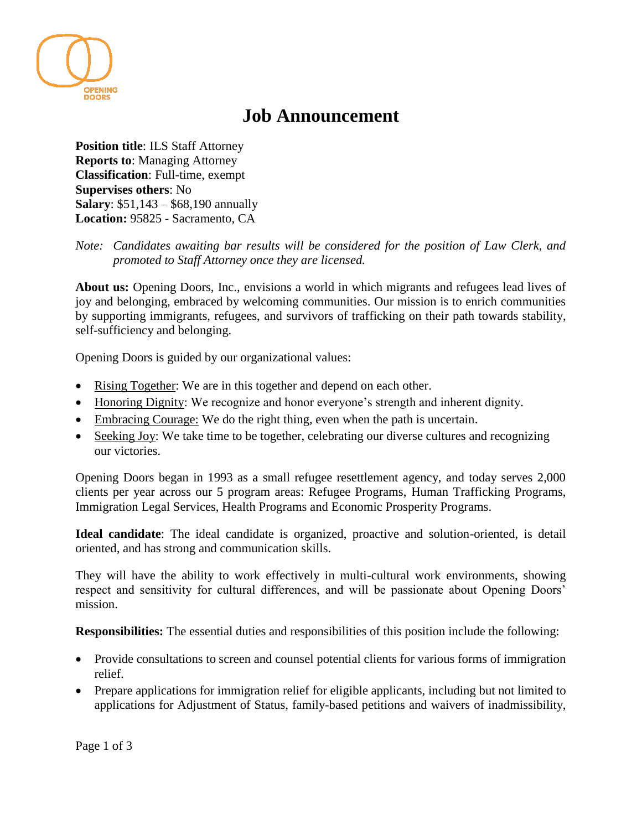

## **Job Announcement**

**Position title**: ILS Staff Attorney **Reports to**: Managing Attorney **Classification**: Full-time, exempt **Supervises others**: No **Salary**: \$51,143 – \$68,190 annually **Location:** 95825 - Sacramento, CA

*Note: Candidates awaiting bar results will be considered for the position of Law Clerk, and promoted to Staff Attorney once they are licensed.*

**About us:** Opening Doors, Inc., envisions a world in which migrants and refugees lead lives of joy and belonging, embraced by welcoming communities. Our mission is to enrich communities by supporting immigrants, refugees, and survivors of trafficking on their path towards stability, self-sufficiency and belonging.

Opening Doors is guided by our organizational values:

- Rising Together: We are in this together and depend on each other.
- Honoring Dignity: We recognize and honor everyone's strength and inherent dignity.
- Embracing Courage: We do the right thing, even when the path is uncertain.
- Seeking Joy: We take time to be together, celebrating our diverse cultures and recognizing our victories.

Opening Doors began in 1993 as a small refugee resettlement agency, and today serves 2,000 clients per year across our 5 program areas: Refugee Programs, Human Trafficking Programs, Immigration Legal Services, Health Programs and Economic Prosperity Programs.

**Ideal candidate**: The ideal candidate is organized, proactive and solution-oriented, is detail oriented, and has strong and communication skills.

They will have the ability to work effectively in multi-cultural work environments, showing respect and sensitivity for cultural differences, and will be passionate about Opening Doors' mission.

**Responsibilities:** The essential duties and responsibilities of this position include the following:

- Provide consultations to screen and counsel potential clients for various forms of immigration relief.
- Prepare applications for immigration relief for eligible applicants, including but not limited to applications for Adjustment of Status, family-based petitions and waivers of inadmissibility,

Page 1 of 3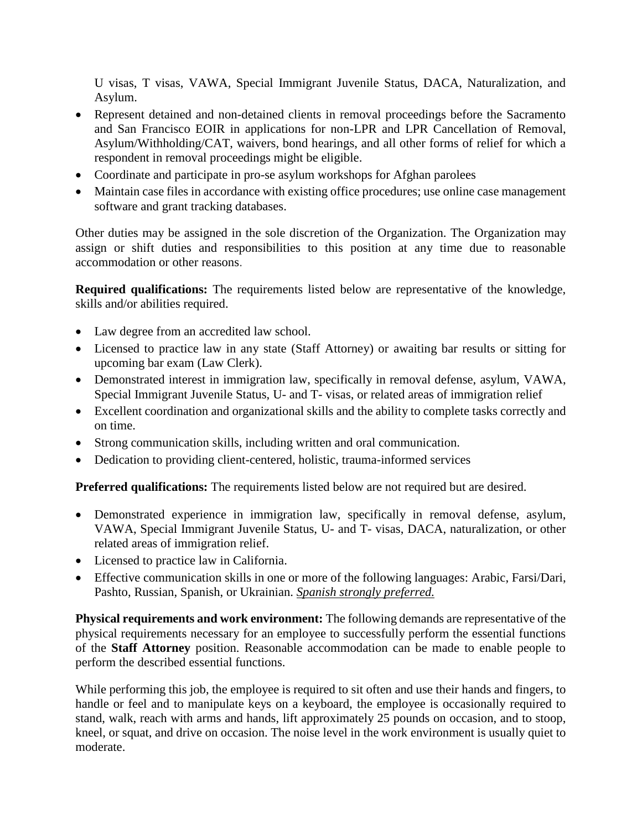U visas, T visas, VAWA, Special Immigrant Juvenile Status, DACA, Naturalization, and Asylum.

- Represent detained and non-detained clients in removal proceedings before the Sacramento and San Francisco EOIR in applications for non-LPR and LPR Cancellation of Removal, Asylum/Withholding/CAT, waivers, bond hearings, and all other forms of relief for which a respondent in removal proceedings might be eligible.
- Coordinate and participate in pro-se asylum workshops for Afghan parolees
- Maintain case files in accordance with existing office procedures; use online case management software and grant tracking databases.

Other duties may be assigned in the sole discretion of the Organization. The Organization may assign or shift duties and responsibilities to this position at any time due to reasonable accommodation or other reasons.

**Required qualifications:** The requirements listed below are representative of the knowledge, skills and/or abilities required.

- Law degree from an accredited law school.
- Licensed to practice law in any state (Staff Attorney) or awaiting bar results or sitting for upcoming bar exam (Law Clerk).
- Demonstrated interest in immigration law, specifically in removal defense, asylum, VAWA, Special Immigrant Juvenile Status, U- and T- visas, or related areas of immigration relief
- Excellent coordination and organizational skills and the ability to complete tasks correctly and on time.
- Strong communication skills, including written and oral communication.
- Dedication to providing client-centered, holistic, trauma-informed services

**Preferred qualifications:** The requirements listed below are not required but are desired.

- Demonstrated experience in immigration law, specifically in removal defense, asylum, VAWA, Special Immigrant Juvenile Status, U- and T- visas, DACA, naturalization, or other related areas of immigration relief.
- Licensed to practice law in California.
- Effective communication skills in one or more of the following languages: Arabic, Farsi/Dari, Pashto, Russian, Spanish, or Ukrainian. *Spanish strongly preferred.*

**Physical requirements and work environment:** The following demands are representative of the physical requirements necessary for an employee to successfully perform the essential functions of the **Staff Attorney** position. Reasonable accommodation can be made to enable people to perform the described essential functions.

While performing this job, the employee is required to sit often and use their hands and fingers, to handle or feel and to manipulate keys on a keyboard, the employee is occasionally required to stand, walk, reach with arms and hands, lift approximately 25 pounds on occasion, and to stoop, kneel, or squat, and drive on occasion. The noise level in the work environment is usually quiet to moderate.